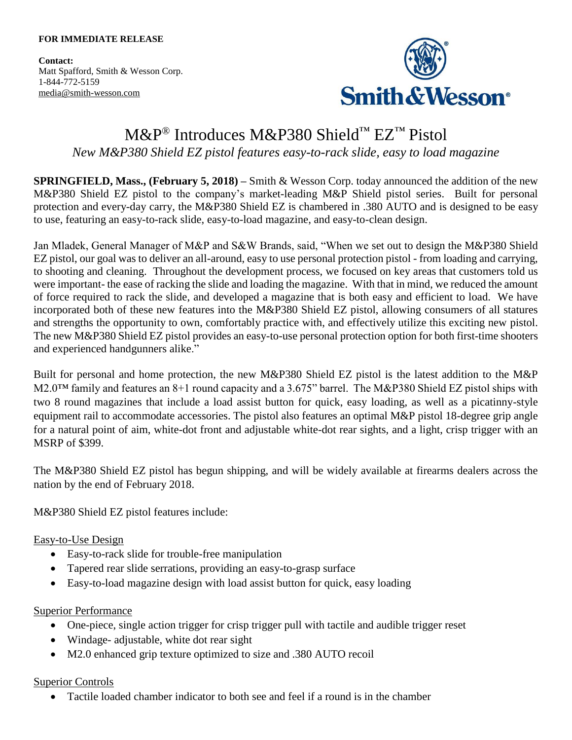**Contact:** Matt Spafford, Smith & Wesson Corp. 1-844-772-5159 [media@smith-wesson.com](mailto:media@smith-wesson.com)



# M&P® Introduces M&P380 Shield™ EZ™ Pistol *New M&P380 Shield EZ pistol features easy-to-rack slide, easy to load magazine*

**SPRINGFIELD, Mass., (February 5, 2018) –** Smith & Wesson Corp. today announced the addition of the new M&P380 Shield EZ pistol to the company's market-leading M&P Shield pistol series. Built for personal protection and every-day carry, the M&P380 Shield EZ is chambered in .380 AUTO and is designed to be easy to use, featuring an easy-to-rack slide, easy-to-load magazine, and easy-to-clean design.

Jan Mladek, General Manager of M&P and S&W Brands, said, "When we set out to design the M&P380 Shield EZ pistol, our goal was to deliver an all-around, easy to use personal protection pistol - from loading and carrying, to shooting and cleaning. Throughout the development process, we focused on key areas that customers told us were important- the ease of racking the slide and loading the magazine. With that in mind, we reduced the amount of force required to rack the slide, and developed a magazine that is both easy and efficient to load. We have incorporated both of these new features into the M&P380 Shield EZ pistol, allowing consumers of all statures and strengths the opportunity to own, comfortably practice with, and effectively utilize this exciting new pistol. The new M&P380 Shield EZ pistol provides an easy-to-use personal protection option for both first-time shooters and experienced handgunners alike."

Built for personal and home protection, the new M&P380 Shield EZ pistol is the latest addition to the M&P M2.0™ family and features an 8+1 round capacity and a 3.675" barrel. The M&P380 Shield EZ pistol ships with two 8 round magazines that include a load assist button for quick, easy loading, as well as a picatinny-style equipment rail to accommodate accessories. The pistol also features an optimal M&P pistol 18-degree grip angle for a natural point of aim, white-dot front and adjustable white-dot rear sights, and a light, crisp trigger with an MSRP of \$399.

The M&P380 Shield EZ pistol has begun shipping, and will be widely available at firearms dealers across the nation by the end of February 2018.

M&P380 Shield EZ pistol features include:

# Easy-to-Use Design

- Easy-to-rack slide for trouble-free manipulation
- Tapered rear slide serrations, providing an easy-to-grasp surface
- Easy-to-load magazine design with load assist button for quick, easy loading

### Superior Performance

- One-piece, single action trigger for crisp trigger pull with tactile and audible trigger reset
- Windage- adjustable, white dot rear sight
- M2.0 enhanced grip texture optimized to size and .380 AUTO recoil

# Superior Controls

Tactile loaded chamber indicator to both see and feel if a round is in the chamber